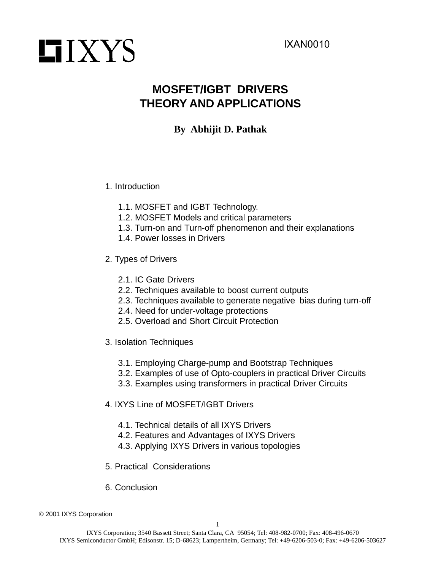# **LIXYS**

# **MOSFET/IGBT DRIVERS THEORY AND APPLICATIONS**

# **By Abhijit D. Pathak**

# 1. Introduction

- 1.1. MOSFET and IGBT Technology.
- 1.2. MOSFET Models and critical parameters
- 1.3. Turn-on and Turn-off phenomenon and their explanations
- 1.4. Power losses in Drivers
- 2. Types of Drivers
	- 2.1. IC Gate Drivers
	- 2.2. Techniques available to boost current outputs
	- 2.3. Techniques available to generate negative bias during turn-off
	- 2.4. Need for under-voltage protections
	- 2.5. Overload and Short Circuit Protection
- 3. Isolation Techniques
	- 3.1. Employing Charge-pump and Bootstrap Techniques
	- 3.2. Examples of use of Opto-couplers in practical Driver Circuits
	- 3.3. Examples using transformers in practical Driver Circuits
- 4. IXYS Line of MOSFET/IGBT Drivers
	- 4.1. Technical details of all IXYS Drivers
	- 4.2. Features and Advantages of IXYS Drivers
	- 4.3. Applying IXYS Drivers in various topologies
- 5. Practical Considerations
- 6. Conclusion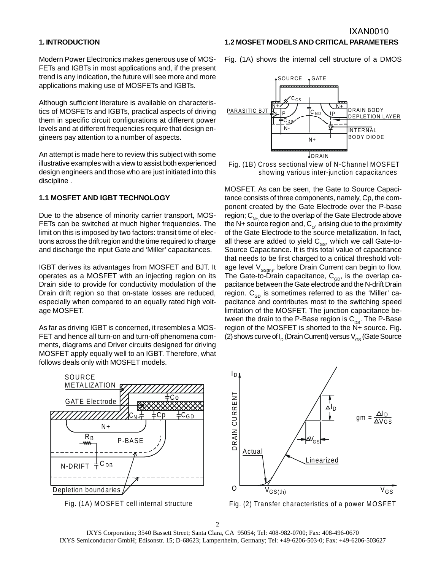#### **1. INTRODUCTION**

Modern Power Electronics makes generous use of MOS-FETs and IGBTs in most applications and, if the present trend is any indication, the future will see more and more applications making use of MOSFETs and IGBTs.

Although sufficient literature is available on characteristics of MOSFETs and IGBTs, practical aspects of driving them in specific circuit configurations at different power levels and at different frequencies require that design engineers pay attention to a number of aspects.

An attempt is made here to review this subject with some illustrative examples with a view to assist both experienced design engineers and those who are just initiated into this discipline .

### **1.1 MOSFET AND IGBT TECHNOLOGY**

Due to the absence of minority carrier transport, MOS-FETs can be switched at much higher frequencies. The limit on this is imposed by two factors: transit time of electrons across the drift region and the time required to charge and discharge the input Gate and 'Miller' capacitances.

IGBT derives its advantages from MOSFET and BJT. It operates as a MOSFET with an injecting region on its Drain side to provide for conductivity modulation of the Drain drift region so that on-state losses are reduced, especially when compared to an equally rated high voltage MOSFET.

As far as driving IGBT is concerned, it resembles a MOS-FET and hence all turn-on and turn-off phenomena comments, diagrams and Driver circuits designed for driving MOSFET apply equally well to an IGBT. Therefore, what follows deals only with MOSFET models.



**1.2 MOSFET MODELS AND CRITICAL PARAMETERS**

Fig. (1A) shows the internal cell structure of a DMOS



MOSFET. As can be seen, the Gate to Source Capacitance consists of three components, namely, Cp, the component created by the Gate Electrode over the P-base region;  $C_{N_{+}}$  due to the overlap of the Gate Electrode above the N+ source region and,  $C_{\text{o}}$ , arising due to the proximity of the Gate Electrode to the source metallization. In fact, all these are added to yield  $C_{\text{gs}}$ , which we call Gate-to-Source Capacitance. It is this total value of capacitance that needs to be first charged to a critical threshold voltage level  $V_{GS(th)}$ , before Drain Current can begin to flow. The Gate-to-Drain capacitance,  $C_{\text{GD}}$ , is the overlap capacitance between the Gate electrode and the N-drift Drain region.  $C_{GD}$  is sometimes referred to as the 'Miller' capacitance and contributes most to the switching speed limitation of the MOSFET. The junction capacitance between the drain to the P-Base region is  $C_{\text{ps}}$ . The P-Base region of the MOSFET is shorted to the N+ source. Fig. (2) shows curve of  $I_D$  (Drain Current) versus  $V_{GS}$  (Gate Source







Fig. (2) Transfer characteristics of a power MOSFET

2

IXYS Corporation; 3540 Bassett Street; Santa Clara, CA 95054; Tel: 408-982-0700; Fax: 408-496-0670 IXYS Semiconductor GmbH; Edisonstr. 15; D-68623; Lampertheim, Germany; Tel: +49-6206-503-0; Fax: +49-6206-503627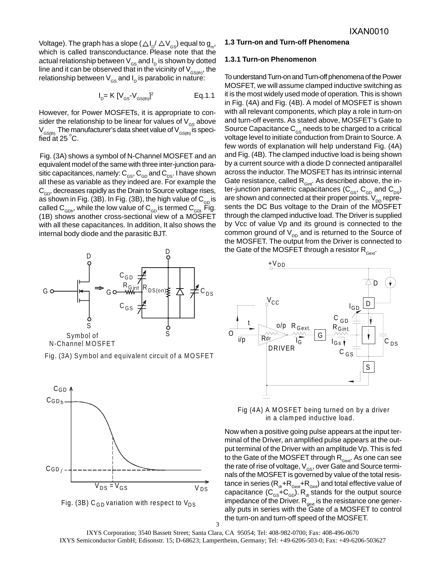Voltage). The graph has a slope (  $\bigtriangleup\mathsf{I}_{\mathsf{p}}\!/\bigtriangleup\mathsf{V}_{\mathsf{GS}}^{}$  equal to  $\mathsf{g}_{_{\mathsf{m}}^{}},$ which is called transconductance. Please note that the actual relationship between  $V_{\text{gs}}$  and  $I_{\text{p}}$  is shown by dotted line and it can be observed that in the vicinity of  $V_{\text{GS(th)}}$ , the relationship between  $V_{\text{GS}}$  and  $I_{\text{D}}$  is parabolic in nature:

$$
I_{D} = K [V_{GS} - V_{GS(th)}]^2
$$
 Eq. 1.1

However, for Power MOSFETs, it is appropriate to consider the relationship to be linear for values of  $V_{\text{GS}}$  above  $V_{GS(th)}$ . The manufacturer's data sheet value of  $V_{GS(th)}$  is specified at 25 $^{\circ}$ C.

Fig. (3A) shows a symbol of N-Channel MOSFET and an equivalent model of the same with three inter-junction parasitic capacitances, namely:  $C_{\text{GS}}$ ,  $C_{\text{GD}}$  and  $C_{\text{DS}}$ . I have shown all these as variable as they indeed are. For example the  $C_{\text{GD}}$ , decreases rapidly as the Drain to Source voltage rises, as shown in Fig. (3B). In Fig. (3B), the high value of  $C_{GD}$  is called  $C_{\text{GDD}}$ , while the low value of  $C_{\text{GDD}}$  is termed  $C_{\text{GDD}}$ . Fig. (1B) shows another cross-sectional view of a MOSFET with all these capacitances. In addition, It also shows the internal body diode and the parasitic BJT.



Fig. (3A) Symbol and equivalent circuit of a MOSFET





#### **1.3 Turn-on and Turn-off Phenomena**

#### **1.3.1 Turn-on Phenomenon**

To understand Turn-on and Turn-off phenomena of the Power MOSFET, we will assume clamped inductive switching as it is the most widely used mode of operation. This is shown in Fig. (4A) and Fig. (4B). A model of MOSFET is shown with all relevant components, which play a role in turn-on and turn-off events. As stated above, MOSFET's Gate to Source Capacitance  $C_{\text{GS}}$  needs to be charged to a critical voltage level to initiate conduction from Drain to Source. A few words of explanation will help understand Fig. (4A) and Fig. (4B). The clamped inductive load is being shown by a current source with a diode D connected antiparallel across the inductor. The MOSFET has its intrinsic internal Gate resistance, called  $R_{\text{Gint}}$ . As described above, the inter-junction parametric capacitances ( $C_{\text{\tiny GS}}$ ,  $C_{\text{\tiny GD}}$  and  $C_{\text{\tiny DS}}$ ) are shown and connected at their proper points.  $V_{\text{DD}}$  represents the DC Bus voltage to the Drain of the MOSFET through the clamped inductive load. The Driver is supplied by Vcc of value Vp and its ground is connected to the common ground of  $V_{\text{DD}}$  and is returned to the Source of the MOSFET. The output from the Driver is connected to the Gate of the MOSFET through a resistor  $R_{\text{cav}}$ .



Fig (4A) A MOSFET being turned on by a driver in a clamped inductive load.

Now when a positive going pulse appears at the input terminal of the Driver, an amplified pulse appears at the output terminal of the Driver with an amplitude Vp. This is fed to the Gate of the MOSFET through  $R_{\text{Gext}}$ . As one can see the rate of rise of voltage,  $V_{\text{GS}}$ , over Gate and Source terminals of the MOSFET is governed by value of the total resistance in series  $(R_{dr}+R_{Gext}+R_{Gint})$  and total effective value of capacitance  $(C_{\text{GS}}+C_{\text{GD}})$ . R<sub>dr</sub> stands for the output source impedance of the Driver.  $R_{\text{gext}}^{\text{H}}$  is the resistance one generally puts in series with the Gate of a MOSFET to control the turn-on and turn-off speed of the MOSFET.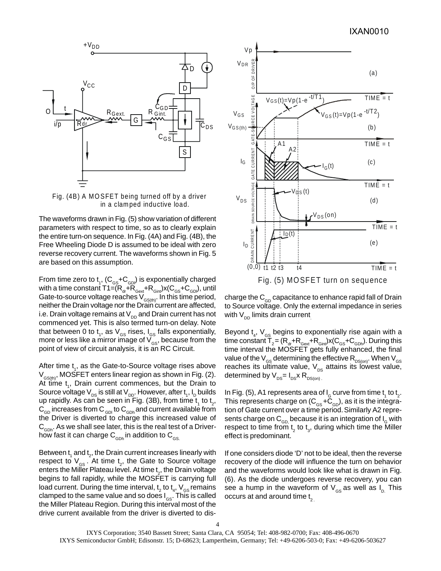

Fig. (4B) A MOSFET being turned off by a driver in a clamped inductive load.

The waveforms drawn in Fig. (5) show variation of different parameters with respect to time, so as to clearly explain the entire turn-on sequence. In Fig. (4A) and Fig. (4B), the Free Wheeling Diode D is assumed to be ideal with zero reverse recovery current. The waveforms shown in Fig. 5 are based on this assumption.

From time zero to  $\mathsf{t}_\mathsf{1}$ , (C $_\mathsf{GS}$ +C $_\mathsf{GD}$ ) is exponentially charged with a time constant T1=(R<sub>dr</sub>+R<sub>Gext</sub>+R<sub>Gint</sub>)x(C<sub>GS</sub>+C<sub>GDI</sub>), until Gate-to-source voltage reaches  $V_{GS(th)}$ . In this time period, neither the Drain voltage nor the Drain current are affected, i.e. Drain voltage remains at  $V_{DD}$  and Drain current has not commenced yet. This is also termed turn-on delay. Note that between 0 to  $\mathsf{t}_\mathsf{1},$  as  $\mathsf{V}_{_\mathsf{GS}}$  rises,  $\mathsf{I}_{_\mathsf{GS}}$  falls exponentially, more or less like a mirror image of  $V_{\rm{gs}}$ , because from the point of view of circuit analysis, it is an RC Circuit.

After time  $\mathfrak{t}_i$ , as the Gate-to-Source voltage rises above  $V_{cS(th)}$ , MOSFET enters linear region as shown in Fig. (2). At time t<sub>1</sub>, Drain current commences, but the Drain to Source voltage V $_{\text{ds}}$  is still at V $_{\text{DD}}$ . However, after t<sub>1</sub>, I<sub>D</sub> builds up rapidly. As can be seen in Fig. (3B), from time  $t_1$  to  $t_2$ ,  $C_{_{GD}}$  increases from  $C_{_{GD}}$  to  $C_{_{GD}}$  and current available from the Driver is diverted to charge this increased value of  $C_{\text{GDD}}$ . As we shall see later, this is the real test of a Driverhow fast it can charge  $C_{\text{GDD}}$  in addition to  $C_{\text{GS}}$ .

Between  $\mathfrak{t}_{_{1}}$  and  $\mathfrak{t}_{_{2}}$ , the Drain current increases linearly with respect to  $V_{\text{gs}}$ . At time  $t_{2}$ , the Gate to Source voltage enters the Miller Plateau level. At time  $\mathsf{t}_{_2}$ , the Drain voltage begins to fall rapidly, while the MOSFET is carrying full load current. During the time interval,  $\bm{{\mathsf{t}}}_2$  to  $\bm{{\mathsf{t}}}_4$ ,  $\bm{\mathsf{V}}_{_{\mathsf{GS}}}$ remains clamped to the same value and so does  $\boldsymbol{\mathsf{I}}_{_{\mathsf{GS}}}$ . This is called the Miller Plateau Region. During this interval most of the drive current available from the driver is diverted to dis-



charge the  $C_{GD}$  capacitance to enhance rapid fall of Drain to Source voltage. Only the external impedance in series with  $V_{DD}$  limits drain current.

Beyond  $\mathfrak{t}_{\scriptscriptstyle 4}$ ,  $\mathsf{V}_{\scriptscriptstyle \text{GS}}$  begins to exponentially rise again with a time constant T $_{_2}$  = (R $_{_{\text{dr}}}$ +R $_{_{\text{Gext}}}$ +R $_{_{\text{Gint}}}$ )x(C $_{_{\text{GS}}}$ +C $_{_{\text{GDD}}}$ ). During this time interval the MOSFET gets fully enhanced, the final value of the  $\rm V_{\rm \scriptscriptstyle GS}$  determining the effective  $\rm R_{\rm\scriptscriptstyle DS(00)}$ . When  $\rm V_{\rm \scriptscriptstyle GS}$ reaches its ultimate value,  $V_{DS}$  attains its lowest value, determined by  $V_{DS} = I_{DS} X R_{DS(00)}$ .

In Fig. (5), A1 represents area of I<sub>G</sub> curve from time  $\mathsf{t}_\mathsf{1}$  to  $\mathsf{t}_\mathsf{2}$ . This represents charge on ( $\mathsf{C}_{\textup{gs}}\textup{+}\mathsf{C}_{\textup{GD}}$ ), as it is the integration of Gate current over a time period.Similarly A2 represents charge on  $C_{GD}$  because it is an integration of  $I_G$  with respect to time from  $\bm{{\mathsf{t}}}_2$  to  $\bm{{\mathsf{t}}}_3$ , during which time the Miller effect is predominant.

If one considers diode 'D' not to be ideal, then the reverse recovery of the diode will influence the turn on behavior and the waveforms would look like what is drawn in Fig. (6). As the diode undergoes reverse recovery, you can see a hump in the waveform of  $V_{\text{gs}}$  as well as  $I_{\text{p}}$ . This occurs at and around time  $t<sub>2</sub>$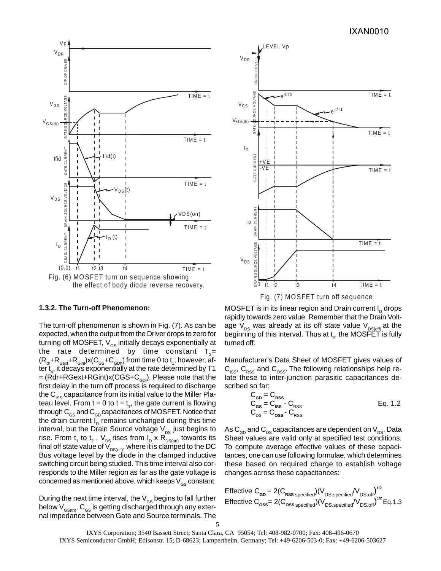

#### **1.3.2. The Turn-off Phenomenon:**

The turn-off phenomenon is shown in Fig. (7). As can be expected, when the output from the Driver drops to zero for turning off MOSFET,  $V_{GS}$  initially decays exponentially at the rate determined by time constant  $T_{2}=$  $(\mathsf{R}_{\sf dr}{\sf +}\mathsf{R}_{\sf Gext}{\sf +}\mathsf{R}_{\sf Gint})$ x(C $_{\sf GS}{\sf +}\mathsf{C}_{\sf GDh}$ ) from time 0 to  $\mathsf{t}_{\sf i}$ ; however, after  $\mathsf{t}_4$ , it decays exponentially at the rate determined by T1  $=$  (Rdr+RGext+RGint)x(CGS+C<sub>GDI</sub>). Please note that the first delay in the turn off process is required to discharge the  $C_{\text{ISS}}$  capacitance from its initial value to the Miller Plateau level. From  $t = 0$  to  $t = t<sub>1</sub>$ , the gate current is flowing through  $C_{GS}$  and  $C_{GD}$  capacitances of MOSFET. Notice that the drain current  $I<sub>p</sub>$  remains unchanged during this time interval, but the Drain Source voltage  $V_{DS}$  just begins to rise. From t<sub>1</sub> to t<sub>2</sub> , V<sub>DS</sub> rises from I<sub>D</sub> x R<sub>DS(on)</sub> towards its final off state value of  $\mathsf{V}_{\mathsf{DS(off)}},$  where it is clamped to the DC Bus voltage level by the diode in the clamped inductive switching circuit being studied. This time interval also corresponds to the Miller region as far as the gate voltage is concerned as mentioned above, which keeps  $V_{\text{GS}}$  constant.

During the next time interval, the  $V_{\text{gs}}$  begins to fall further below  $V_{GS(th)}$ .  $C_{GS}$  is getting discharged through any external impedance between Gate and Source terminals. The



Fig. (7) MO SFET turn off sequence

MOSFET is in its linear region and Drain current  $I_D$  drops rapidly towards zero value. Remember that the Drain Voltage  $V_{DS}$  was already at its off state value  $V_{DS(off)}$  at the beginning of this interval. Thus at  $\mathfrak{t}_4$ , the MOSFET is fully turned off.

Manufacturer's Data Sheet of MOSFET gives values of  $C_{\text{ISS}}$ ,  $C_{\text{RSS}}$  and  $C_{\text{OSS}}$ . The following relationships help relate these to inter-junction parasitic capacitances described so far:

$$
C_{\text{GD}} = C_{\text{RSS}}
$$
  
\n
$$
C_{\text{GS}} = C_{\text{ISS}} - C_{\text{RSS}}
$$
  
\n
$$
C_{\text{DS}} = C_{\text{oss}} - C_{\text{RSS}}
$$
  
\n
$$
C_{\text{DSS}} = C_{\text{RSS}}
$$
  
\n
$$
C_{\text{DSS}} = C_{\text{RSS}}
$$

As  $C_{\text{GD}}$  and  $C_{\text{DS}}$  capacitances are dependent on  $V_{\text{DS}}$ , Data Sheet values are valid only at specified test conditions. To compute average effective values of these capacitances, one can use following formulae, which determines these based on required charge to establish voltage changes across these capacitances:

$$
\begin{aligned} \text{Effective C}_{\text{GD}} &= 2(C_{\text{RSS} \text{ specified}})(V_{\text{DS} \text{ specified}} / V_{\text{DS} \text{ off}})^{1/2} \\ \text{Effective C}_{\text{oss}} &= 2(C_{\text{oss} \text{ specified}} / (V_{\text{DS} \text{ specified}} / V_{\text{DS} \text{ off}})^{1/2} \text{Eq.1.3} \end{aligned}
$$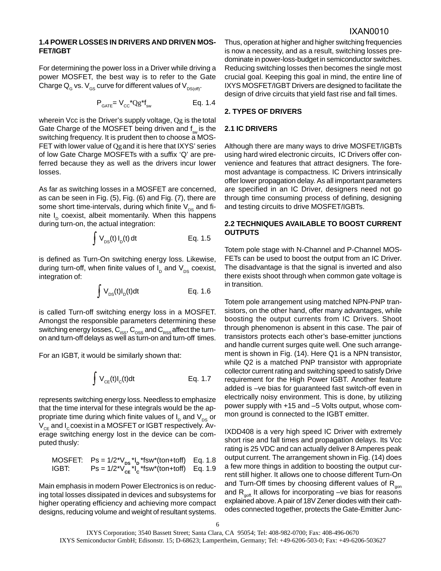# IXAN0010

#### **1.4 POWER LOSSES IN DRIVERS AND DRIVEN MOS-FET/IGBT**

For determining the power loss in a Driver while driving a power MOSFET, the best way is to refer to the Gate Charge  $Q_{\rm g}$  vs.  $V_{\rm gs}$  curve for different values of  $V_{\rm DS(off)}$ .

$$
P_{GATE} = V_{CC}^{\dagger} Q g^{\dagger} f_{sw}
$$
 Eq. 1.4

wherein Vcc is the Driver's supply voltage, Qg is the total Gate Charge of the MOSFET being driven and  $f_{\text{max}}$  is the switching frequency. It is prudent then to choose a MOS-FET with lower value of Qgand it is here that IXYS' series of low Gate Charge MOSFETs with a suffix 'Q' are preferred because they as well as the drivers incur lower losses.

As far as switching losses in a MOSFET are concerned, as can be seen in Fig. (5), Fig. (6) and Fig. (7), there are some short time-intervals, during which finite  $V_{DS}$  and finite  $I_p$  coexist, albeit momentarily. When this happens during turn-on, the actual integration:

$$
\int V_{DS}(t) I_D(t) dt
$$
 Eq. 1.5

is defined as Turn-On switching energy loss. Likewise, during turn-off, when finite values of  $I<sub>D</sub>$  and  $V<sub>DS</sub>$  coexist, integration of:

$$
\int V_{DS}(t)I_D(t)dt
$$
 Eq. 1.6

is called Turn-off switching energy loss in a MOSFET. Amongst the responsible parameters determining these switching energy losses,  $C_{ISS}$ ,  $C_{OSS}$  and  $C_{RSS}$  affect the turnon and turn-off delays as well as turn-on and turn-off times.

For an IGBT, it would be similarly shown that:

$$
\int V_{CE}(t)I_C(t)dt
$$
 Eq. 1.7

represents switching energy loss. Needless to emphasize that the time interval for these integrals would be the appropriate time during which finite values of  $I_D$  and  $V_{DS}$  or  $V_{CE}$  and I<sub>c</sub> coexist in a MOSFET or IGBT respectively. Average switching energy lost in the device can be computed thusly:

$$
\begin{array}{ll}\n\text{MOSFET:} & \text{Ps} = \frac{1}{2} \sqrt[3]{16} \text{K}^1 \text{K}^* \text{(ton+toff)} & \text{Eq. 1.8} \\
\text{IGBT:} & \text{Ps} = \frac{1}{2} \sqrt[3]{16} \text{K}^* \text{K}^* \text{(ton+toff)} & \text{Eq. 1.9}\n\end{array}
$$

Main emphasis in modern Power Electronics is on reducing total losses dissipated in devices and subsystems for higher operating efficiency and achieving more compact designs, reducing volume and weight of resultant systems.

Thus, operation at higher and higher switching frequencies is now a necessity, and as a result, switching losses predominate in power-loss-budget in semiconductor switches. Reducing switching losses then becomes the single most crucial goal. Keeping this goal in mind, the entire line of IXYS MOSFET/IGBT Drivers are designed to facilitate the design of drive circuits that yield fast rise and fall times.

#### **2. TYPES OF DRIVERS**

#### **2.1 IC DRIVERS**

Although there are many ways to drive MOSFET/IGBTs using hard wired electronic circuits, IC Drivers offer convenience and features that attract designers. The foremost advantage is compactness. IC Drivers intrinsically offer lower propagation delay. As all important parameters are specified in an IC Driver, designers need not go through time consuming process of defining, designing and testing circuits to drive MOSFET/IGBTs.

# **2.2 TECHNIQUES AVAILABLE TO BOOST CURRENT OUTPUTS**

Totem pole stage with N-Channel and P-Channel MOS-FETs can be used to boost the output from an IC Driver. The disadvantage is that the signal is inverted and also there exists shoot through when common gate voltage is in transition.

Totem pole arrangement using matched NPN-PNP transistors, on the other hand, offer many advantages, while boosting the output currents from IC Drivers. Shoot through phenomenon is absent in this case. The pair of transistors protects each other's base-emitter junctions and handle current surges quite well. One such arrangement is shown in Fig. (14). Here Q1 is a NPN transistor, while Q2 is a matched PNP transistor with appropriate collector current rating and switching speed to satisfy Drive requirement for the High Power IGBT. Another feature added is –ve bias for guaranteed fast switch-off even in electrically noisy environment. This is done, by utilizing power supply with +15 and –5 Volts output, whose common ground is connected to the IGBT emitter.

IXDD408 is a very high speed IC Driver with extremely short rise and fall times and propagation delays. Its Vcc rating is 25 VDC and can actually deliver 8 Amperes peak output current. The arrangement shown in Fig. (14) does a few more things in addition to boosting the output current still higher. It allows one to choose different Turn-On and Turn-Off times by choosing different values of  $R_{\text{gen}}$ and  $R_{\text{off}}$  It allows for incorporating –ve bias for reasons explained above. A pair of 18V Zener diodes with their cathodes connected together, protects the Gate-Emitter Junc-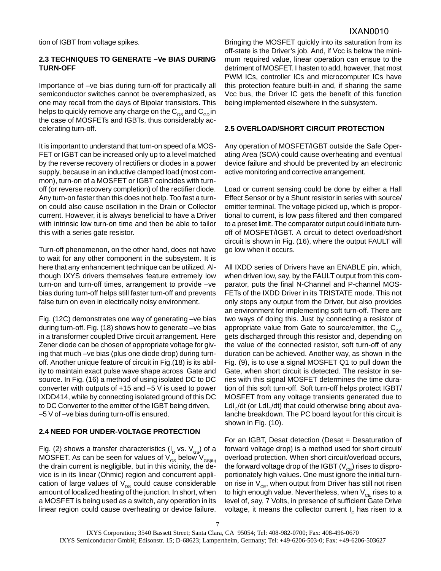tion of IGBT from voltage spikes.

# **2.3 TECHNIQUES TO GENERATE –Ve BIAS DURING TURN-OFF**

Importance of –ve bias during turn-off for practically all semiconductor switches cannot be overemphasized, as one may recall from the days of Bipolar transistors. This helps to quickly remove any charge on the  $C_{\text{GS}}$  and  $C_{\text{GD}}$  in the case of MOSFETs and IGBTs, thus considerably accelerating turn-off.

It is important to understand that turn-on speed of a MOS-FET or IGBT can be increased only up to a level matched by the reverse recovery of rectifiers or diodes in a power supply, because in an inductive clamped load (most common), turn-on of a MOSFET or IGBT coincides with turnoff (or reverse recovery completion) of the rectifier diode. Any turn-on faster than this does not help. Too fast a turnon could also cause oscillation in the Drain or Collector current. However, it is always beneficial to have a Driver with intrinsic low turn-on time and then be able to tailor this with a series gate resistor.

Turn-off phenomenon, on the other hand, does not have to wait for any other component in the subsystem. It is here that any enhancement technique can be utilized. Although IXYS drivers themselves feature extremely low turn-on and turn-off times, arrangement to provide –ve bias during turn-off helps still faster turn-off and prevents false turn on even in electrically noisy environment.

Fig. (12C) demonstrates one way of generating –ve bias during turn-off. Fig. (18) shows how to generate –ve bias in a transformer coupled Drive circuit arrangement. Here Zener diode can be chosen of appropriate voltage for giving that much –ve bias (plus one diode drop) during turnoff. Another unique feature of circuit in Fig.(18) is its ability to maintain exact pulse wave shape across Gate and source. In Fig. (16) a method of using isolated DC to DC converter with outputs of +15 and –5 V is used to power IXDD414, while by connecting isolated ground of this DC to DC Converter to the emitter of the IGBT being driven, –5 V of –ve bias during turn-off is ensured.

#### **2.4 NEED FOR UNDER-VOLTAGE PROTECTION**

Fig. (2) shows a transfer characteristics ( $I<sub>p</sub>$  vs.  $V<sub>GS</sub>$ ) of a MOSFET. As can be seen for values of  $V_{\text{GS}}$  below  $V_{\text{GS}(th)}$ the drain current is negligible, but in this vicinity, the device is in its linear (Ohmic) region and concurrent application of large values of  $V_{DS}$  could cause considerable amount of localized heating of the junction. In short, when a MOSFET is being used as a switch, any operation in its linear region could cause overheating or device failure.

Bringing the MOSFET quickly into its saturation from its off-state is the Driver's job. And, if Vcc is below the minimum required value, linear operation can ensue to the detriment of MOSFET. I hasten to add, however, that most PWM ICs, controller ICs and microcomputer ICs have this protection feature built-in and, if sharing the same Vcc bus, the Driver IC gets the benefit of this function being implemented elsewhere in the subsystem.

#### **2.5 OVERLOAD/SHORT CIRCUIT PROTECTION**

Any operation of MOSFET/IGBT outside the Safe Operating Area (SOA) could cause overheating and eventual device failure and should be prevented by an electronic active monitoring and corrective arrangement.

Load or current sensing could be done by either a Hall Effect Sensor or by a Shunt resistor in series with source/ emitter terminal. The voltage picked up, which is proportional to current, is low pass filtered and then compared to a preset limit. The comparator output could initiate turnoff of MOSFET/IGBT. A circuit to detect overload/short circuit is shown in Fig. (16), where the output FAULT will go low when it occurs.

All IXDD series of Drivers have an ENABLE pin, which, when driven low, say, by the FAULT output from this comparator, puts the final N-Channel and P-channel MOS-FETs of the IXDD Driver in its TRISTATE mode. This not only stops any output from the Driver, but also provides an environment for implementing soft turn-off. There are two ways of doing this. Just by connecting a resistor of appropriate value from Gate to source/emitter, the  $C_{\text{cs}}$ gets discharged through this resistor and, depending on the value of the connected resistor, soft turn-off of any duration can be achieved. Another way, as shown in the Fig. (9), is to use a signal MOSFET Q1 to pull down the Gate, when short circuit is detected. The resistor in series with this signal MOSFET determines the time duration of this soft turn-off. Soft turn-off helps protect IGBT/ MOSFET from any voltage transients generated due to LdI<sub>c</sub>/dt (or LdI<sub>n</sub>/dt) that could otherwise bring about avalanche breakdown. The PC board layout for this circuit is shown in Fig. (10).

For an IGBT, Desat detection (Desat = Desaturation of forward voltage drop) is a method used for short circuit/ overload protection. When short circuit/overload occurs, the forward voltage drop of the IGBT  $(V_{CF})$  rises to disproportionately high values. One must ignore the initial turnon rise in  $V_{CF}$ , when output from Driver has still not risen to high enough value. Nevertheless, when  $V_{CF}$  rises to a level of, say, 7 Volts, in presence of sufficient Gate Drive voltage, it means the collector current  $I_c$  has risen to a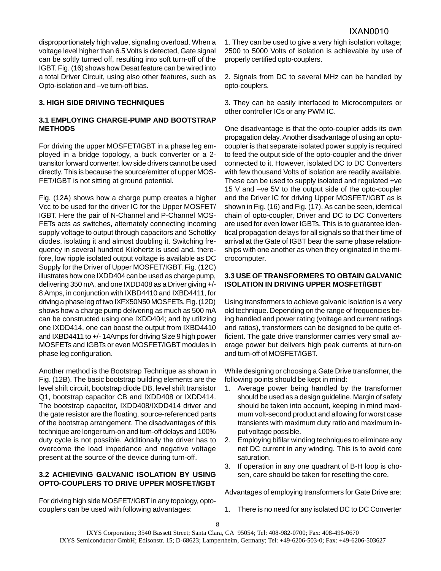disproportionately high value, signaling overload. When a voltage level higher than 6.5 Volts is detected, Gate signal can be softly turned off, resulting into soft turn-off of the IGBT. Fig. (16) shows how Desat feature can be wired into a total Driver Circuit, using also other features, such as Opto-isolation and –ve turn-off bias.

# **3. HIGH SIDE DRIVING TECHNIQUES**

# **3.1 EMPLOYING CHARGE-PUMP AND BOOTSTRAP METHODS**

For driving the upper MOSFET/IGBT in a phase leg employed in a bridge topology, a buck converter or a 2 transitor forward converter, low side drivers cannot be used directly. This is because the source/emitter of upper MOS-FET/IGBT is not sitting at ground potential.

Fig. (12A) shows how a charge pump creates a higher Vcc to be used for the driver IC for the Upper MOSFET/ IGBT. Here the pair of N-Channel and P-Channel MOS-FETs acts as switches, alternately connecting incoming supply voltage to output through capacitors and Schottky diodes, isolating it and almost doubling it. Switching frequency in several hundred Kilohertz is used and, therefore, low ripple isolated output voltage is available as DC Supply for the Driver of Upper MOSFET/IGBT. Fig. (12C) illustrates how one IXDD404 can be used as charge pump, delivering 350 mA, and one IXDD408 as a Driver giving +/- 8 Amps, in conjunction with IXBD4410 and IXBD4411, for driving a phase leg of two IXFX50N50 MOSFETs. Fig. (12D) shows how a charge pump delivering as much as 500 mA can be constructed using one IXDD404; and by utilizing one IXDD414, one can boost the output from IXBD4410 and IXBD4411 to +/- 14Amps for driving Size 9 high power MOSFETs and IGBTs or even MOSFET/IGBT modules in phase leg configuration.

Another method is the Bootstrap Technique as shown in Fig. (12B). The basic bootstrap building elements are the level shift circuit, bootstrap diode DB, level shift transistor Q1, bootstrap capacitor CB and IXDD408 or IXDD414. The bootstrap capacitor, IXDD408/IXDD414 driver and the gate resistor are the floating, source-referenced parts of the bootstrap arrangement. The disadvantages of this technique are longer turn-on and turn-off delays and 100% duty cycle is not possible. Additionally the driver has to overcome the load impedance and negative voltage present at the source of the device during turn-off.

#### **3.2 ACHIEVING GALVANIC ISOLATION BY USING OPTO-COUPLERS TO DRIVE UPPER MOSFET/IGBT**

For driving high side MOSFET/IGBT in any topology, optocouplers can be used with following advantages:

1. They can be used to give a very high isolation voltage; 2500 to 5000 Volts of isolation is achievable by use of properly certified opto-couplers.

2. Signals from DC to several MHz can be handled by opto-couplers.

3. They can be easily interfaced to Microcomputers or other controller ICs or any PWM IC.

One disadvantage is that the opto-coupler adds its own propagation delay. Another disadvantage of using an optocoupler is that separate isolated power supply is required to feed the output side of the opto-coupler and the driver connected to it. However, isolated DC to DC Converters with few thousand Volts of isolation are readily available. These can be used to supply isolated and regulated +ve 15 V and –ve 5V to the output side of the opto-coupler and the Driver IC for driving Upper MOSFET/IGBT as is shown in Fig. (16) and Fig. (17). As can be seen, identical chain of opto-coupler, Driver and DC to DC Converters are used for even lower IGBTs. This is to guarantee identical propagation delays for all signals so that their time of arrival at the Gate of IGBT bear the same phase relationships with one another as when they originated in the microcomputer.

# **3.3 USE OF TRANSFORMERS TO OBTAIN GALVANIC ISOLATION IN DRIVING UPPER MOSFET/IGBT**

Using transformers to achieve galvanic isolation is a very old technique. Depending on the range of frequencies being handled and power rating (voltage and current ratings and ratios), transformers can be designed to be quite efficient. The gate drive transformer carries very small average power but delivers high peak currents at turn-on and turn-off of MOSFET/IGBT.

While designing or choosing a Gate Drive transformer, the following points should be kept in mind:

- 1. Average power being handled by the transformer should be used as a design guideline. Margin of safety should be taken into account, keeping in mind maximum volt-second product and allowing for worst case transients with maximum duty ratio and maximum input voltage possible.
- 2. Employing bifilar winding techniques to eliminate any net DC current in any winding. This is to avoid core saturation.
- 3. If operation in any one quadrant of B-H loop is chosen, care should be taken for resetting the core.

Advantages of employing transformers for Gate Drive are:

1. There is no need for any isolated DC to DC Converter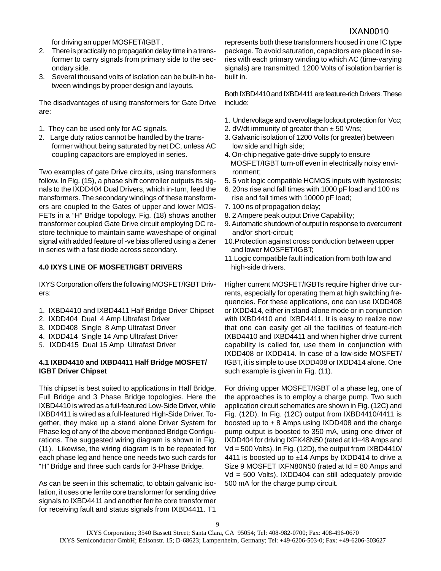for driving an upper MOSFET/IGBT .

- 2. There is practically no propagation delay time in a transformer to carry signals from primary side to the secondary side.
- 3. Several thousand volts of isolation can be built-in between windings by proper design and layouts.

The disadvantages of using transformers for Gate Drive are:

- 1. They can be used only for AC signals.
- 2. Large duty ratios cannot be handled by the transformer without being saturated by net DC, unless AC coupling capacitors are employed in series.

Two examples of gate Drive circuits, using transformers follow. In Fig. (15), a phase shift controller outputs its signals to the IXDD404 Dual Drivers, which in-turn, feed the transformers. The secondary windings of these transformers are coupled to the Gates of upper and lower MOS-FETs in a "H" Bridge topology. Fig. (18) shows another transformer coupled Gate Drive circuit employing DC restore technique to maintain same waveshape of original signal with added feature of -ve bias offered using a Zener in series with a fast diode across secondary.

# **4.0 IXYS LINE OF MOSFET/IGBT DRIVERS**

IXYS Corporation offers the following MOSFET/IGBT Drivers:

- 1. IXBD4410 and IXBD4411 Half Bridge Driver Chipset
- 2. IXDD404 Dual 4 Amp Ultrafast Driver
- 3. IXDD408 Single 8 Amp Ultrafast Driver
- 4. IXDD414 Single 14 Amp Ultrafast Driver
- 5. IXDD415 Dual 15 Amp Ultrafast Driver

# **4.1 IXBD4410 and IXBD4411 Half Bridge MOSFET/ IGBT Driver Chipset**

This chipset is best suited to applications in Half Bridge, Full Bridge and 3 Phase Bridge topologies. Here the IXBD4410 is wired as a full-featured Low-Side Driver, while IXBD4411 is wired as a full-featured High-Side Driver. Together, they make up a stand alone Driver System for Phase leg of any of the above mentioned Bridge Configurations. The suggested wiring diagram is shown in Fig. (11). Likewise, the wiring diagram is to be repeated for each phase leg and hence one needs two such cards for "H" Bridge and three such cards for 3-Phase Bridge.

As can be seen in this schematic, to obtain galvanic isolation, it uses one ferrite core transformer for sending drive signals to IXBD4411 and another ferrite core transformer for receiving fault and status signals from IXBD4411. T1

represents both these transformers housed in one IC type package. To avoid saturation, capacitors are placed in series with each primary winding to which AC (time-varying signals) are transmitted. 1200 Volts of isolation barrier is built in.

Both IXBD4410 and IXBD4411 are feature-rich Drivers. These include:

- 1. Undervoltage and overvoltage lockout protection for Vcc;
- 2. dV/dt immunity of greater than  $\pm$  50 V/ns;
- 3. Galvanic isolation of 1200 Volts (or greater) between low side and high side;
- 4. On-chip negative gate-drive supply to ensure MOSFET/IGBT turn-off even in electrically noisy envi ronment;
- 5. 5 volt logic compatible HCMOS inputs with hysteresis;
- 6. 20ns rise and fall times with 1000 pF load and 100 ns rise and fall times with 10000 pF load;
- 7. 100 ns of propagation delay;
- 8. 2 Ampere peak output Drive Capability;
- 9. Automatic shutdown of output in response to overcurrent and/or short-circuit;
- 10.Protection against cross conduction between upper and lower MOSFET/IGBT;
- 11.Logic compatible fault indication from both low and high-side drivers.

Higher current MOSFET/IGBTs require higher drive currents, especially for operating them at high switching frequencies. For these applications, one can use IXDD408 or IXDD414, either in stand-alone mode or in conjunction with IXBD4410 and IXBD4411. It is easy to realize now that one can easily get all the facilities of feature-rich IXBD4410 and IXBD4411 and when higher drive current capability is called for, use them in conjunction with IXDD408 or IXDD414. In case of a low-side MOSFET/ IGBT, it is simple to use IXDD408 or IXDD414 alone. One such example is given in Fig. (11).

For driving upper MOSFET/IGBT of a phase leg, one of the approaches is to employ a charge pump. Two such application circuit schematics are shown in Fig. (12C) and Fig. (12D). In Fig. (12C) output from IXBD4410/4411 is boosted up to  $\pm$  8 Amps using IXDD408 and the charge pump output is boosted to 350 mA, using one driver of IXDD404 for driving IXFK48N50 (rated at Id=48 Amps and Vd = 500 Volts). In Fig. (12D), the output from IXBD4410/ 4411 is boosted up to  $\pm$ 14 Amps by IXDD414 to drive a Size 9 MOSFET IXFN80N50 (rated at Id = 80 Amps and Vd = 500 Volts). IXDD404 can still adequately provide 500 mA for the charge pump circuit.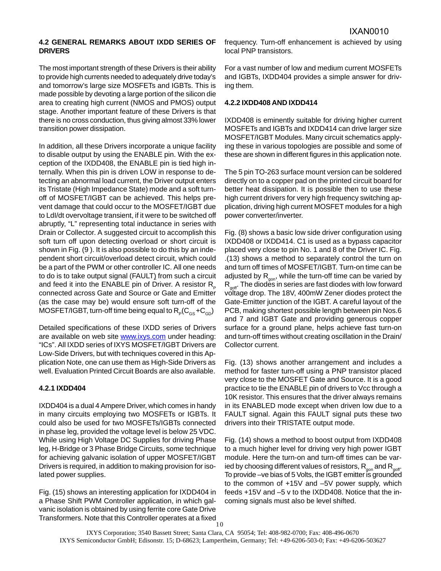#### **4.2 GENERAL REMARKS ABOUT IXDD SERIES OF DRIVERS**

The most important strength of these Drivers is their ability to provide high currents needed to adequately drive today's and tomorrow's large size MOSFETs and IGBTs. This is made possible by devoting a large portion of the silicon die area to creating high current (NMOS and PMOS) output stage. Another important feature of these Drivers is that there is no cross conduction, thus giving almost 33% lower transition power dissipation.

In addition, all these Drivers incorporate a unique facility to disable output by using the ENABLE pin. With the exception of the IXDD408, the ENABLE pin is tied high internally. When this pin is driven LOW in response to detecting an abnormal load current, the Driver output enters its Tristate (High Impedance State) mode and a soft turnoff of MOSFET/IGBT can be achieved. This helps prevent damage that could occur to the MOSFET/IGBT due to LdI/dt overvoltage transient, if it were to be switched off abruptly, "L" representing total inductance in series with Drain or Collector. A suggested circuit to accomplish this soft turn off upon detecting overload or short circuit is shown in Fig. (9 ). It is also possible to do this by an independent short circuit/overload detect circuit, which could be a part of the PWM or other controller IC. All one needs to do is to take output signal (FAULT) from such a circuit and feed it into the ENABLE pin of Driver. A resistor  $R_{p}$ connected across Gate and Source or Gate and Emitter (as the case may be) would ensure soft turn-off of the MOSFET/IGBT, turn-off time being equal to  $R_p(C_{gs} + C_{cg})$ 

Detailed specifications of these IXDD series of Drivers are available on web site www.ixys.com under heading: "ICs". All IXDD series of IXYS MOSFET/IGBT Drivers are Low-Side Drivers, but with techniques covered in this Application Note, one can use them as High-Side Drivers as well. Evaluation Printed Circuit Boards are also available.

#### **4.2.1 IXDD404**

IXDD404 is a dual 4 Ampere Driver, which comes in handy in many circuits employing two MOSFETs or IGBTs. It could also be used for two MOSFETs/IGBTs connected in phase leg, provided the voltage level is below 25 VDC. While using High Voltage DC Supplies for driving Phase leg, H-Bridge or 3 Phase Bridge Circuits, some technique for achieving galvanic isolation of upper MOSFET/IGBT Drivers is required, in addition to making provision for isolated power supplies.

Fig. (15) shows an interesting application for IXDD404 in a Phase Shift PWM Controller application, in which galvanic isolation is obtained by using ferrite core Gate Drive Transformers. Note that this Controller operates at a fixed

frequency. Turn-off enhancement is achieved by using local PNP transistors.

For a vast number of low and medium current MOSFETs and IGBTs, IXDD404 provides a simple answer for driving them.

### **4.2.2 IXDD408 AND IXDD414**

IXDD408 is eminently suitable for driving higher current MOSFETs and IGBTs and IXDD414 can drive larger size MOSFET/IGBT Modules. Many circuit schematics applying these in various topologies are possible and some of these are shown in different figures in this application note.

The 5 pin TO-263 surface mount version can be soldered directly on to a copper pad on the printed circuit board for better heat dissipation. It is possible then to use these high current drivers for very high frequency switching application, driving high current MOSFET modules for a high power converter/inverter.

Fig. (8) shows a basic low side driver configuration using IXDD408 or IXDD414. C1 is used as a bypass capacitor placed very close to pin No. 1 and 8 of the Driver IC. Fig. .(13) shows a method to separately control the turn on and turn off times of MOSFET/IGBT. Turn-on time can be adjusted by  $R_{\text{con}}$ , while the turn-off time can be varied by  $R_{\text{soft}}$ . The diodes in series are fast diodes with low forward voltage drop. The 18V, 400mW Zener diodes protect the Gate-Emitter junction of the IGBT. A careful layout of the PCB, making shortest possible length between pin Nos.6 and 7 and IGBT Gate and providing generous copper surface for a ground plane, helps achieve fast turn-on and turn-off times without creating oscillation in the Drain/ Collector current.

Fig. (13) shows another arrangement and includes a method for faster turn-off using a PNP transistor placed very close to the MOSFET Gate and Source. It is a good practice to tie the ENABLE pin of drivers to Vcc through a 10K resistor. This ensures that the driver always remains in its ENABLED mode except when driven low due to a FAULT signal. Again this FAULT signal puts these two drivers into their TRISTATE output mode.

Fig. (14) shows a method to boost output from IXDD408 to a much higher level for driving very high power IGBT module. Here the turn-on and turn-off times can be varied by choosing different values of resistors,  $R_{\text{con}}$  and  $R_{\text{off}}$ . To provide –ve bias of 5 Volts, the IGBT emitter is grounded to the common of +15V and –5V power supply, which feeds +15V and –5 v to the IXDD408. Notice that the incoming signals must also be level shifted.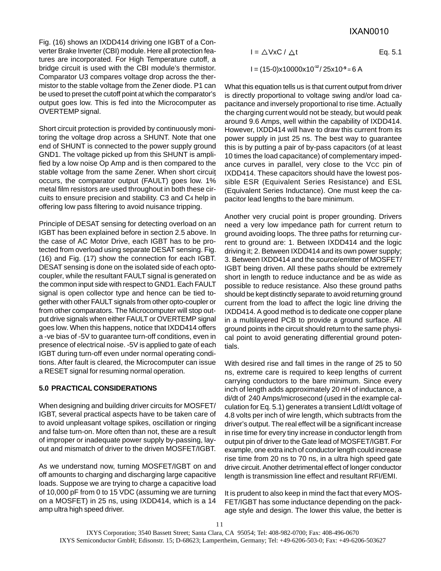Fig. (16) shows an IXDD414 driving one IGBT of a Converter Brake Inverter (CBI) module. Here all protection features are incorporated. For High Temperature cutoff, a bridge circuit is used with the CBI module's thermistor. Comparator U3 compares voltage drop across the thermistor to the stable voltage from the Zener diode. P1 can be used to preset the cutoff point at which the comparator's output goes low. This is fed into the Microcomputer as OVERTEMP signal.

Short circuit protection is provided by continuously monitoring the voltage drop across a SHUNT. Note that one end of SHUNT is connected to the power supply ground GND1. The voltage picked up from this SHUNT is amplified by a low noise Op Amp and is then compared to the stable voltage from the same Zener. When short circuit occurs, the comparator output (FAULT) goes low. 1% metal film resistors are used throughout in both these circuits to ensure precision and stability. C3 and C4 help in offering low pass filtering to avoid nuisance tripping.

Principle of DESAT sensing for detecting overload on an IGBT has been explained before in section 2.5 above. In the case of AC Motor Drive, each IGBT has to be protected from overload using separate DESAT sensing. Fig. (16) and Fig. (17) show the connection for each IGBT. DESAT sensing is done on the isolated side of each optocoupler, while the resultant FAULT signal is generated on the common input side with respect to GND1. Each FAULT signal is open collector type and hence can be tied together with other FAULT signals from other opto-coupler or from other comparators. The Microcomputer will stop output drive signals when either FAULT or OVERTEMP signal goes low. When this happens, notice that IXDD414 offers a -ve bias of -5V to guarantee turn-off conditions, even in presence of electrical noise. -5V is applied to gate of each IGBT during turn-off even under normal operating conditions. After fault is cleared, the Microcomputer can issue a RESET signal for resuming normal operation.

# **5.0 PRACTICAL CONSIDERATIONS**

When designing and building driver circuits for MOSFET/ IGBT, several practical aspects have to be taken care of to avoid unpleasant voltage spikes, oscillation or ringing and false turn-on. More often than not, these are a result of improper or inadequate power supply by-passing, layout and mismatch of driver to the driven MOSFET/IGBT.

As we understand now, turning MOSFET/IGBT on and off amounts to charging and discharging large capacitive loads. Suppose we are trying to charge a capacitive load of 10,000 pF from 0 to 15 VDC (assuming we are turning on a MOSFET) in 25 ns, using IXDD414, which is a 14 amp ultra high speed driver.

$$
I = \triangle VxC / \triangle t
$$
 Eq. 5.1  
 
$$
I = (15-0)x10000x10^{12}/25x10^{9} = 6 A
$$

What this equation tells us is that current output from driver is directly proportional to voltage swing and/or load capacitance and inversely proportional to rise time. Actually the charging current would not be steady, but would peak around 9.6 Amps, well within the capability of IXDD414. However, IXDD414 will have to draw this current from its power supply in just 25 ns. The best way to guarantee this is by putting a pair of by-pass capacitors (of at least 10 times the load capacitance) of complementary impedance curves in parallel, very close to the VCC pin of IXDD414. These capacitors should have the lowest possible ESR (Equivalent Series Resistance) and ESL (Equivalent Series Inductance). One must keep the capacitor lead lengths to the bare minimum.

Another very crucial point is proper grounding. Drivers need a very low impedance path for current return to ground avoiding loops. The three paths for returning current to ground are: 1. Between IXDD414 and the logic driving it; 2. Between IXDD414 and its own power supply; 3. Between IXDD414 and the source/emitter of MOSFET/ IGBT being driven. All these paths should be extremely short in length to reduce inductance and be as wide as possible to reduce resistance. Also these ground paths should be kept distinctly separate to avoid returning ground current from the load to affect the logic line driving the IXDD414. A good method is to dedicate one copper plane in a multilayered PCB to provide a ground surface. All ground points in the circuit should return to the same physical point to avoid generating differential ground potentials.

With desired rise and fall times in the range of 25 to 50 ns, extreme care is required to keep lengths of current carrying conductors to the bare minimum. Since every inch of length adds approximately 20 nH of inductance, a di/dt of 240 Amps/microsecond (used in the example calculation for Eq. 5.1) generates a transient LdI/dt voltage of 4.8 volts per inch of wire length, which subtracts from the driver's output. The real effect will be a significant increase in rise time for every tiny increase in conductor length from output pin of driver to the Gate lead of MOSFET/IGBT. For example, one extra inch of conductor length could increase rise time from 20 ns to 70 ns, in a ultra high speed gate drive circuit. Another detrimental effect of longer conductor length is transmission line effect and resultant RFI/EMI.

It is prudent to also keep in mind the fact that every MOS-FET/IGBT has some inductance depending on the package style and design. The lower this value, the better is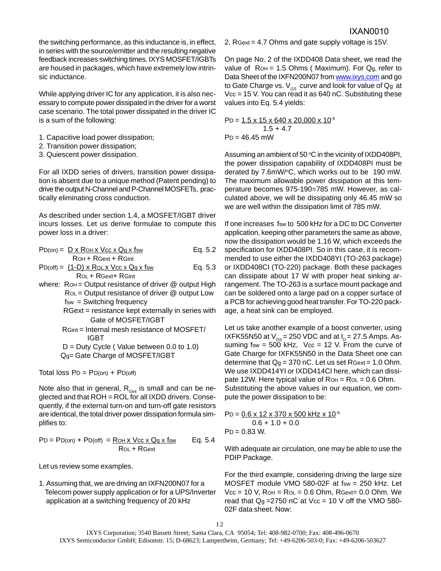the switching performance, as this inductance is, in effect, in series with the source/emitter and the resulting negative feedback increases switching times. IXYS MOSFET/IGBTs are housed in packages, which have extremely low intrinsic inductance.

While applying driver IC for any application, it is also necessary to compute power dissipated in the driver for a worst case scenario. The total power dissipated in the driver IC is a sum of the following:

- 1. Capacitive load power dissipation;
- 2. Transition power dissipation;
- 3. Quiescent power dissipation.

For all IXDD series of drivers, transition power dissipation is absent due to a unique method (Patent pending) to drive the output N-Channel and P-Channel MOSFETs, practically eliminating cross conduction.

As described under section 1.4, a MOSFET/IGBT driver incurs losses. Let us derive formulae to compute this power loss in a driver:

|                     | $PD($ on) = $DX$ $R$ OH $X$ $Vcc$ $X$ $Qg$ $X$ $fsw$ | Eq. 5.2 |
|---------------------|------------------------------------------------------|---------|
| ROH + RGext + RGint |                                                      |         |

$$
PD(off) = (1-D) \times ROL \times Vcc \times Qg \times fsw
$$
 Eq. 5.3  
 
$$
ROL + RGext + RGint
$$

- where:  $RoH = Output$  resistance of driver  $@$  output High  $RoL = Output$  resistance of driver  $@$  output Low fsw = Switching frequency RGext = resistance kept externally in series with
	- Gate of MOSFET/IGBT
	- RGint = Internal mesh resistance of MOSFET/ IGBT
	- $D = Duty$  Cycle (Value between 0.0 to 1.0) Qg= Gate Charge of MOSFET/IGBT

Total loss  $PD = PD$ (on) +  $PD$ (off)

Note also that in general,  $R_{Gint}$  is small and can be neglected and that ROH = ROL for all IXDD drivers. Consequently, if the external turn-on and turn-off gate resistors are identical, the total driver power dissipation formula simplifies to:

$$
PD = PD(\text{on}) + PD(\text{off}) = \frac{R\text{OH} \times \text{Vcc} \times \text{Qg} \times \text{fsw}}{R\text{OL} + R\text{Gext}} \qquad Eq. 5.4
$$

Let us review some examples.

1. Assuming that, we are driving an IXFN200N07 for a Telecom power supply application or for a UPS/Inverter application at a switching frequency of 20 kHz

2. RGext = 4.7 Ohms and gate supply voltage is 15V.

On page No. 2 of the IXDD408 Data sheet, we read the value of  $RoH = 1.5 Ohms$  (Maximum). For  $Qg$ , refer to Data Sheet of the IXFN200N07 from www.ixys.com and go to Gate Charge vs.  $V_{\text{GS}}$  curve and look for value of Qg at Vcc = 15 V. You can read it as 640 nC. Substituting these values into Eq. 5.4 yields:

PD =  $1.5 \times 15 \times 640 \times 20,000 \times 10^{-9}$  $1.5 + 4.7$  $P_D = 46.45$  mW

Assuming an ambient of 50  $\mathrm{^{\circ}C}$  in the vicinity of IXDD408PI, the power dissipation capability of IXDD408PI must be derated by 7.6mW/°C, which works out to be 190 mW. The maximum allowable power dissipation at this temperature becomes 975-190=785 mW. However, as calculated above, we will be dissipating only 46.45 mW so we are well within the dissipation limit of 785 mW.

If one increases fsw to 500 kHz for a DC to DC Converter application, keeping other parameters the same as above, now the dissipation would be 1.16 W, which exceeds the specification for IXDD408PI. So in this case, it is recommended to use either the IXDD408YI (TO-263 package) or IXDD408CI (TO-220) package. Both these packages can dissipate about 17 W with proper heat sinking arrangement. The TO-263 is a surface mount package and can be soldered onto a large pad on a copper surface of a PCB for achieving good heat transfer. For TO-220 package, a heat sink can be employed.

Let us take another example of a boost converter, using IXFK55N50 at  $V_{DS}$  = 250 VDC and at  $I_{D}$  = 27.5 Amps. Assuming fsw =  $500$  kHz, Vcc = 12 V. From the curve of Gate Charge for IXFK55N50 in the Data Sheet one can determine that  $Q_g = 370$  nC. Let us set RGext = 1.0 Ohm. We use IXDD414YI or IXDD414CI here, which can dissipate 12W. Here typical value of  $RoH = RoL = 0.6 Ohm$ . Substituting the above values in our equation, we compute the power dissipation to be:

$$
PD = \underbrace{0.6 \times 12 \times 370 \times 500 \text{ kHz} \times 10^{\circ}}_{0.6 + 1.0 + 0.0}
$$
\n
$$
PD = 0.83 \text{ W.}
$$

With adequate air circulation, one may be able to use the PDIP Package.

For the third example, considering driving the large size MOSFET module VMO 580-02F at fsw = 250 kHz. Let  $Vcc = 10$  V,  $RoH = RoL = 0.6$  Ohm,  $RGext = 0.0$  Ohm. We read that  $Q_g = 2750$  nC at  $Vec = 10$  V off the VMO 580-02F data sheet. Now: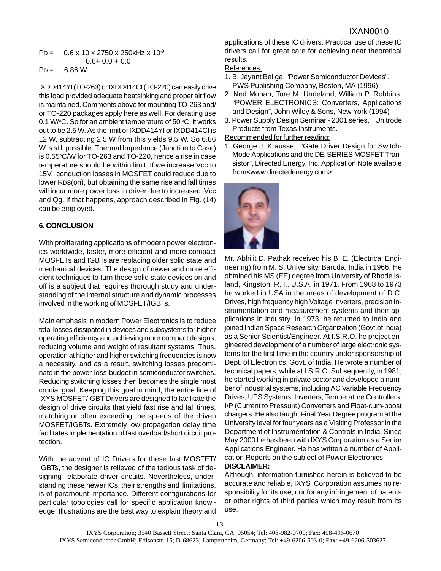$$
PD = \underbrace{0.6 \times 10 \times 2750 \times 250 \text{kHz} \times 10^9}_{0.6 + 0.0 + 0.0}
$$
\n
$$
PD = 6.86 \text{ W}
$$

IXDD414YI (TO-263) or IXDD414CI (TO-220) can easily drive this load provided adequate heatsinking and proper air flow is maintained. Comments above for mounting TO-263 and/ or TO-220 packages apply here as well. For derating use 0.1 W/ $\rm ^oC.$  So for an ambient temperature of 50  $\rm ^oC$ , it works out to be 2.5 W. As the limit of IXDD414YI or IXDD414CI is 12 W, subtracting 2.5 W from this yields 9.5 W. So 6.86 W is still possible. Thermal Impedance (Junction to Case) is 0.55°C/W for TO-263 and TO-220, hence a rise in case temperature should be within limit. If we increase Vcc to 15V, conduction losses in MOSFET could reduce due to lower RDS(on), but obtaining the same rise and fall times will incur more power loss in driver due to increased Vcc and Qg. If that happens, approach described in Fig. (14) can be employed.

# **6. CONCLUSION**

With proliferating applications of modern power electronics worldwide, faster, more efficient and more compact MOSFETs and IGBTs are replacing older solid state and mechanical devices. The design of newer and more efficient techniques to turn these solid state devices on and off is a subject that requires thorough study and understanding of the internal structure and dynamic processes involved in the working of MOSFET/IGBTs.

Main emphasis in modern Power Electronics is to reduce total losses dissipated in devices and subsystems for higher operating efficiency and achieving more compact designs, reducing volume and weight of resultant systems. Thus, operation at higher and higher switching frequencies is now a necessity, and as a result, switching losses predominate in the power-loss-budget in semiconductor switches. Reducing switching losses then becomes the single most crucial goal. Keeping this goal in mind, the entire line of IXYS MOSFET/IGBT Drivers are designed to facilitate the design of drive circuits that yield fast rise and fall times, matching or often exceeding the speeds of the driven MOSFET/IGBTs. Extremely low propagation delay time facilitates implementation of fast overload/short circuit protection.

With the advent of IC Drivers for these fast MOSFET/ IGBTs, the designer is relieved of the tedious task of designing elaborate driver circuits. Nevertheless, understanding these newer ICs, their strengths and limitations, is of paramount importance. Different configurations for particular topologies call for specific application knowledge. Illustrations are the best way to explain theory and

applications of these IC drivers. Practical use of these IC drivers call for great care for achieving near theoretical results.

# References:

- 1. B. Jayant Baliga, "Power Semiconductor Devices", PWS Publishing Company, Boston, MA (1996)
- 2. Ned Mohan, Tore M. Undeland, William P. Robbins: "POWER ELECTRONICS: Converters, Applications and Design", John Wiley & Sons, New York (1994)
- 3. Power Supply Design Seminar 2001 series, Unitrode Products from Texas Instruments.

# Recommended for further reading:

1. George J. Krausse, "Gate Driver Design for Switch-Mode Applications and the DE-SERIES MOSFET Transistor", Directed Energy, Inc. Application Note available from<www.directedenergy.com>.



Mr. Abhijit D. Pathak received his B. E. (Electrical Engineering) from M. S. University, Baroda, India in 1966. He obtained his MS (EE) degree from University of Rhode Island, Kingston, R. I., U.S.A. in 1971. From 1968 to 1973 he worked in USA in the areas of development of D.C. Drives, high frequency high Voltage Inverters, precision instrumentation and measurement systems and their applications in industry. In 1973, he returned to India and joined Indian Space Research Organization (Govt.of India) as a Senior Scientist/Engineer. At I.S.R.O. he project engineered development of a number of large electronic systems for the first time in the country under sponsorship of Dept. of Electronics, Govt. of India. He wrote a number of technical papers, while at I.S.R.O. Subsequently, in 1981, he started working in private sector and developed a number of industrial systems, including AC Variable Frequency Drives, UPS Systems, Inverters, Temperature Controllers, I/P (Current to Pressure) Converters and Float-cum-boost chargers. He also taught Final Year Degree program at the University level for four years as a Visiting Professor in the Department of Instrumentation & Controls in India. Since May 2000 he has been with IXYS Corporation as a Senior Applications Engineer. He has written a number of Application Reports on the subject of Power Electronics. **DISCLAIMER:**

Although information furnished herein is believed to be accurate and reliable, IXYS Corporation assumes no responsibility for its use; nor for any infringement of patents or other rights of third parties which may result from its use.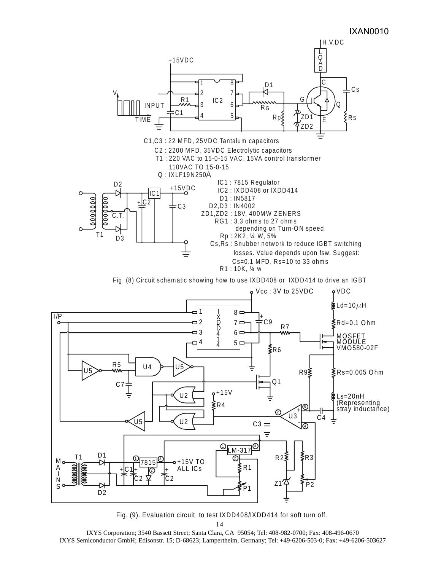

Fig. (9). Evaluation circuit to test IXDD408/IXDD414 for soft turn off.

IXYS Corporation; 3540 Bassett Street; Santa Clara, CA 95054; Tel: 408-982-0700; Fax: 408-496-0670 IXYS Semiconductor GmbH; Edisonstr. 15; D-68623; Lampertheim, Germany; Tel: +49-6206-503-0; Fax: +49-6206-503627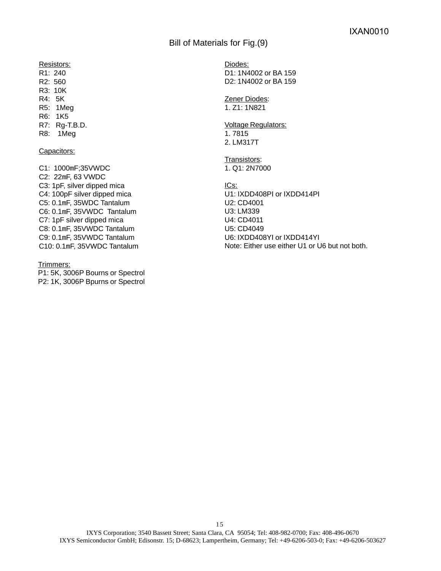Bill of Materials for Fig.(9)

Resistors:

R1: 240 R2: 560 R3: 10K R4: 5K R5: 1Meg R6: 1K5

R7: Rg-T.B.D.

R8: 1Meg

#### Capacitors:

C1: 1000mF;35VWDC C2: 22mF, 63 VWDC C3: 1pF, silver dipped mica C4: 100pF silver dipped mica C5: 0.1mF, 35WDC Tantalum C6: 0.1mF, 35VWDC Tantalum C7: 1pF silver dipped mica C8: 0.1mF, 35VWDC Tantalum C9: 0.1mF, 35VWDC Tantalum C10: 0.1mF, 35VWDC Tantalum

Trimmers:

P1: 5K, 3006P Bourns or Spectrol P2: 1K, 3006P Bpurns or Spectrol

Diodes: D1: 1N4002 or BA 159 D2: 1N4002 or BA 159

Zener Diodes: 1. Z1: 1N821

Voltage Regulators: 1. 7815 2. LM317T

Transistors: 1. Q1: 2N7000

ICs: U1: IXDD408PI or IXDD414PI U2: CD4001 U3: LM339 U4: CD4011 U5: CD4049 U6: IXDD408YI or IXDD414YI Note: Either use either U1 or U6 but not both.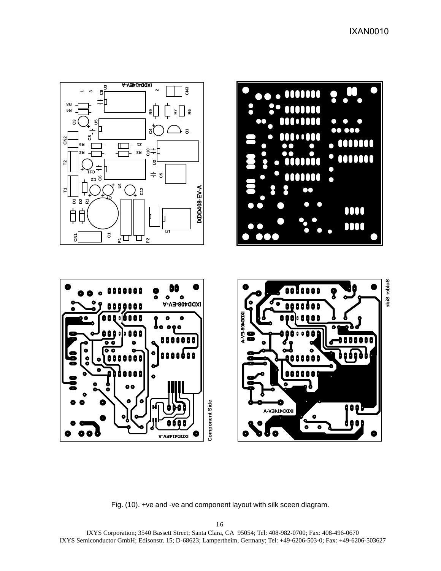IXAN0010



Fig. (10). +ve and -ve and component layout with silk sceen diagram.

IXYS Corporation; 3540 Bassett Street; Santa Clara, CA 95054; Tel: 408-982-0700; Fax: 408-496-0670 IXYS Semiconductor GmbH; Edisonstr. 15; D-68623; Lampertheim, Germany; Tel: +49-6206-503-0; Fax: +49-6206-503627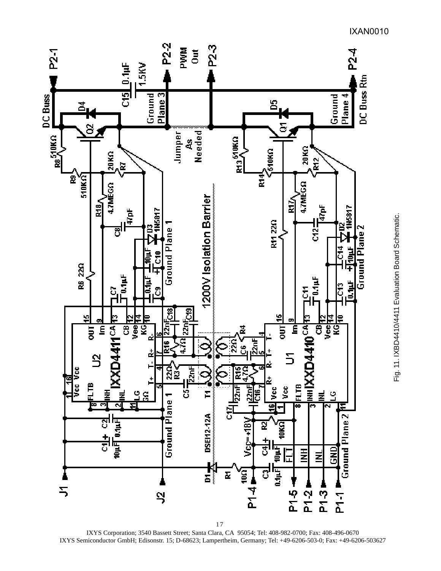

IXYS Corporation; 3540 Bassett Street; Santa Clara, CA 95054; Tel: 408-982-0700; Fax: 408-496-0670 IXYS Semiconductor GmbH; Edisonstr. 15; D-68623; Lampertheim, Germany; Tel: +49-6206-503-0; Fax: +49-6206-503627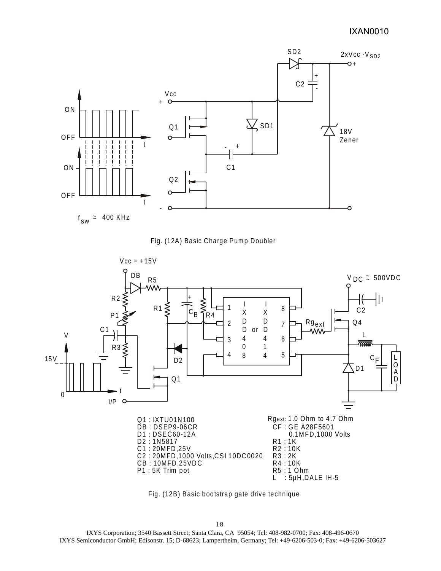# IXAN0010







Fig. (12B) Basic bootstrap gate drive technique

IXYS Corporation; 3540 Bassett Street; Santa Clara, CA 95054; Tel: 408-982-0700; Fax: 408-496-0670 IXYS Semiconductor GmbH; Edisonstr. 15; D-68623; Lampertheim, Germany; Tel: +49-6206-503-0; Fax: +49-6206-503627 18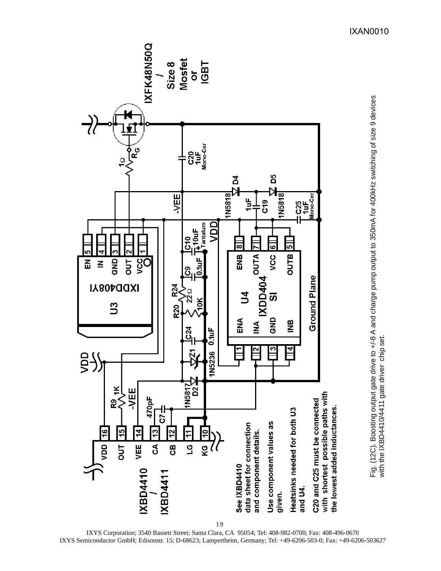

IXYS Corporation; 3540 Bassett Street; Santa Clara, CA 95054; Tel: 408-982-0700; Fax: 408-496-0670 IXYS Semiconductor GmbH; Edisonstr. 15; D-68623; Lampertheim, Germany; Tel: +49-6206-503-0; Fax: +49-6206-503627

IXAN0010

Fig. (12C). Boosting output gate drive to +/-8 A and charge pump output to 350mA for 400kHz switching of size 9 devices

Fig. (12C). Boosting output gate drive to +/-8 A and charge pump output to 350mA for 400kHz switching of size 9 devices<br>with the IXBD4410/4411 gate driver chip set.

with the IXBD4410/4411 gate driver chip set.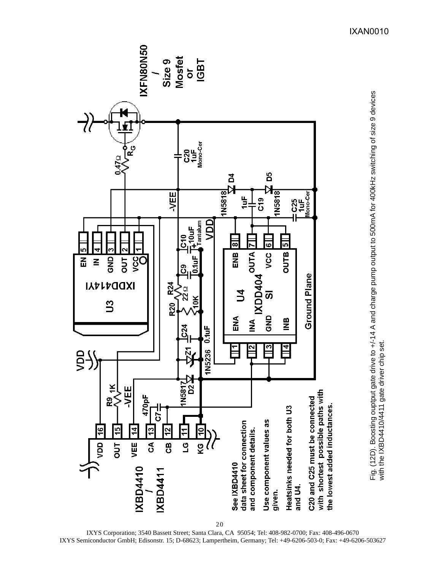

Fig. (12D). Boosting ouptput gate drive to +/-14 A and charge pump output to 500mA for 400kHz switching of size 9 devices<br>with the IXBD4410/4411 gate driver chip set. Fig. (12D). Boosting ouptput gate drive to +/-14 A and charge pump output to 500mA for 400kHz switching of size 9 devices with the IXBD4410/4411 gate driver chip set.

IXYS Corporation; 3540 Bassett Street; Santa Clara, CA 95054; Tel: 408-982-0700; Fax: 408-496-0670 IXYS Semiconductor GmbH; Edisonstr. 15; D-68623; Lampertheim, Germany; Tel: +49-6206-503-0; Fax: +49-6206-503627

IXAN0010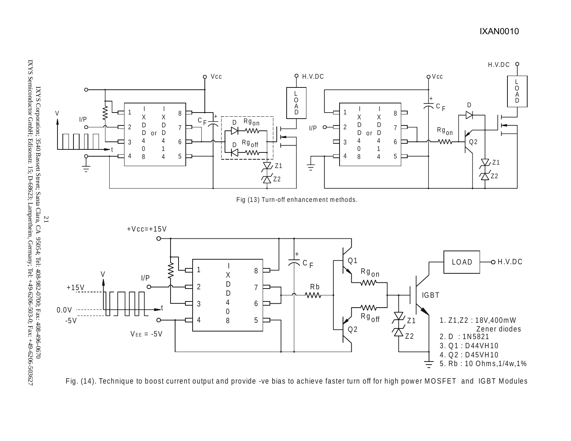



Fig. (14). Technique to boost current output and provide -ve bias to achieve faster turn off for high power MOSFET and IGBT Modules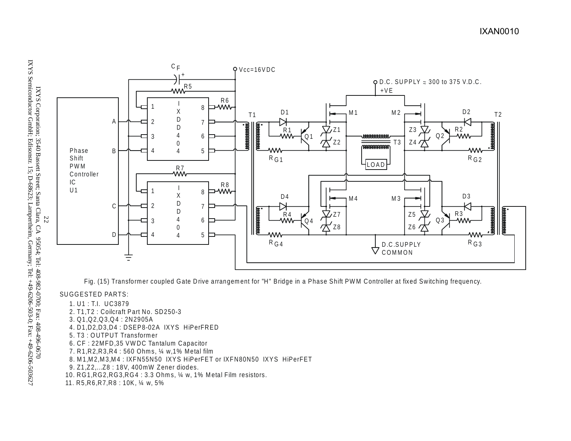

Fig. (15) Transformer coupled Gate Drive arrangem ent for "H" Bridge in a Phase Shift PW M Controller at fixed Switching frequency.

#### SUGGESTED PARTS:

- 1. U1 : T.I. UC3879
- 2. T1,T2 : Coilcraft Part No. SD250-3
- 3. Q1,Q2,Q3,Q 4 : 2N2905A
- 4. D1,D2,D3,D4 : DSEP8-02A IXYS HiPerFRED
- 5. T3 : O UTPUT Transformer
- 6. CF : 22MFD, 35 VWDC Tantalum Capacitor
- 7. R1,R2,R3,R4 : 560 Ohms, ¼ w,1% Metal film
- 8. M 1,M 2,M 3,M 4 : IXFN55N50 IXYS HiPerFET or IXFN80N50 IXYS HiPerFET
- 9. Z1,Z2,...Z8 : 18V, 400mW Zener diodes.
- 10. RG1,RG2,RG3,RG 4 : 3.3 Ohm s, ¼ w, 1% M etal Film resistors.
- 11. R5,R6,R7,R8 : 10K, ¼ w, 5%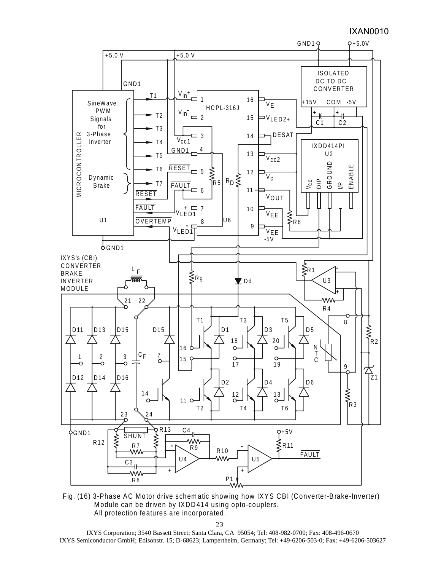# IXAN0010



Fig. (16) 3-Phase AC Motor drive schematic showing how IXYS CBI (Converter-Brake-Inverter) Module can be driven by IXDD414 using opto-couplers. All protection features are incorporated.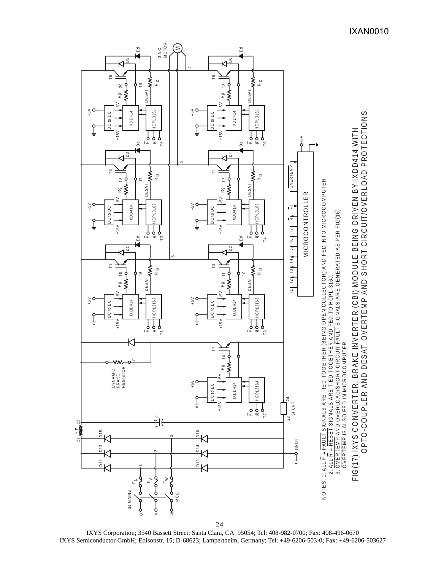

IXYS Corporation; 3540 Bassett Street; Santa Clara, CA 95054; Tel: 408-982-0700; Fax: 408-496-0670 IXYS Semiconductor GmbH; Edisonstr. 15; D-68623; Lampertheim, Germany; Tel: +49-6206-503-0; Fax: +49-6206-503627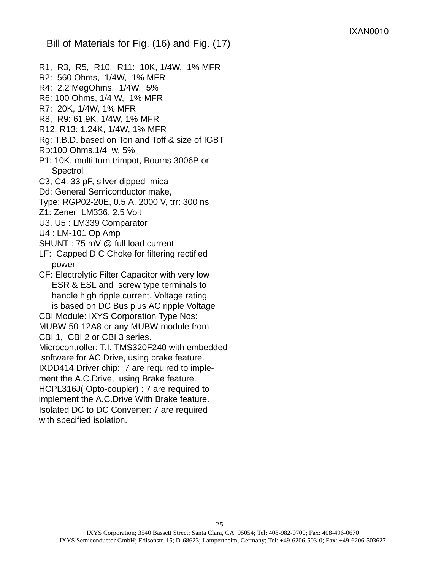Bill of Materials for Fig. (16) and Fig. (17)

- R1, R3, R5, R10, R11: 10K, 1/4W, 1% MFR
- R2: 560 Ohms, 1/4W, 1% MFR
- R4: 2.2 MegOhms, 1/4W, 5%
- R6: 100 Ohms, 1/4 W, 1% MFR
- R7: 20K, 1/4W, 1% MFR
- R8, R9: 61.9K, 1/4W, 1% MFR
- R12, R13: 1.24K, 1/4W, 1% MFR
- Rg: T.B.D. based on Ton and Toff & size of IGBT
- RD:100 Ohms,1/4 w, 5%
- P1: 10K, multi turn trimpot, Bourns 3006P or **Spectrol**
- C3, C4: 33 pF, silver dipped mica
- Dd: General Semiconductor make,
- Type: RGP02-20E, 0.5 A, 2000 V, trr: 300 ns
- Z1: Zener LM336, 2.5 Volt
- U3, U5 : LM339 Comparator
- U4 : LM-101 Op Amp
- SHUNT : 75 mV @ full load current
- LF: Gapped D C Choke for filtering rectified power
- CF: Electrolytic Filter Capacitor with very low ESR & ESL and screw type terminals to handle high ripple current. Voltage rating is based on DC Bus plus AC ripple Voltage

CBI Module: IXYS Corporation Type Nos:

MUBW 50-12A8 or any MUBW module from

CBI 1, CBI 2 or CBI 3 series.

Microcontroller: T.I. TMS320F240 with embedded

software for AC Drive, using brake feature.

IXDD414 Driver chip: 7 are required to imple-

ment the A.C.Drive, using Brake feature. HCPL316J( Opto-coupler) : 7 are required to

implement the A.C.Drive With Brake feature.

Isolated DC to DC Converter: 7 are required with specified isolation.